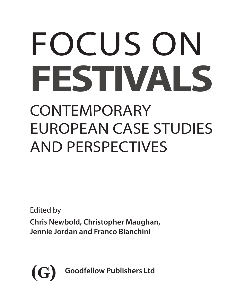# FOCUS ON **FESTIVALS** CONTEMPORARY EUROPEAN CASE STUDIES AND PERSPECTIVES

Edited by

**Chris Newbold, Christopher Maughan, Jennie Jordan and Franco Bianchini**

<span id="page-0-0"></span>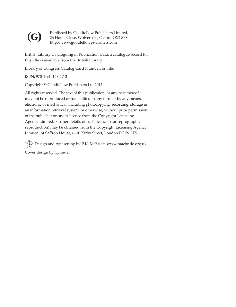<span id="page-1-0"></span>

Published by Goodfellow Publishers Limited, 26 Home Close, Wolvercote, Oxford OX2 8PS http://www.goodfellowpublishers.com

British Library Cataloguing in Publication Data: a catalogue record for this title is available from the British Library.

Library of Congress Catalog Card Number: on file.

ISBN: 978-1-910158-17-3

Copyright © Goodfellow Publishers Ltd 2015

All rights reserved. The text of this publication, or any part thereof, may not be reproduced or transmitted in any form or by any means, electronic or mechanical, including photocopying, recording, storage in an information retrieval system, or otherwise, without prior permission of the publisher or under licence from the Copyright Licensing Agency Limited. Further details of such licences (for reprographic reproduction) may be obtained from the Copyright Licensing Agency Limited, of Saffron House, 6–10 Kirby Street, London EC1N 8TS.

Design and typesetting by P.K. McBride, www.macbride.org.uk Cover design by Cylinder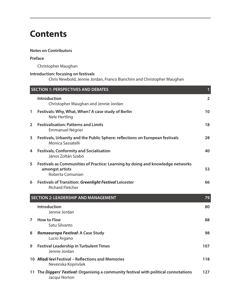# <span id="page-2-0"></span>**Contents**

#### **Notes on Contributors**

#### **Preface**

Christopher Maughan

#### **Introduction: focusing on festivals**

Chris Newbold, Jennie Jordan, Franco Bianchini and Christopher Maughan

| $\overline{1}$<br><b>SECTION 1: PERSPECTIVES AND DEBATES</b> |                                                                                                                       |                 |  |  |
|--------------------------------------------------------------|-----------------------------------------------------------------------------------------------------------------------|-----------------|--|--|
|                                                              | Introduction<br>Christopher Maughan and Jennie Jordan                                                                 | $\overline{2}$  |  |  |
| 1                                                            | Festivals: Why, What, When? A case study of Berlin<br>Nele Hertling                                                   | 10 <sup>1</sup> |  |  |
| 2                                                            | <b>Festivalisation: Patterns and Limits</b><br><b>Emmanuel Négrier</b>                                                | 18              |  |  |
| 3                                                            | Festivals, Urbanity and the Public Sphere: reflections on European festivals<br>Monica Sassatelli                     | 28              |  |  |
| 4                                                            | <b>Festivals, Conformity and Socialisation</b><br>János Zoltán Szabó                                                  | 40              |  |  |
| 5                                                            | Festivals as Communities of Practice: Learning by doing and knowledge networks<br>amongst artists<br>Roberta Comunian | 53              |  |  |
| 6                                                            | <b>Festivals of Transition: Greenlight Festival Leicester</b><br><b>Richard Fletcher</b>                              | 66              |  |  |
| <b>SECTION 2: LEADERSHIP AND MANAGEMENT</b><br>79            |                                                                                                                       |                 |  |  |
|                                                              | Introduction<br>Jennie Jordan                                                                                         | 80              |  |  |
| 7                                                            | How to Flow<br>Satu Silvanto                                                                                          | 88              |  |  |
| 8                                                            | Romaeuropa Festival: A Case Study<br>Lucio Argano                                                                     | 98              |  |  |
| 9                                                            | <b>Festival Leadership in Turbulent Times</b><br>Jennie Jordan                                                        | 107             |  |  |
|                                                              | 10 Mladi levi Festival - Reflections and Memories<br>Nevenska Koprivšek                                               | 118             |  |  |
|                                                              | 11 The Diggers' Festival: Organising a community festival with political connotations<br>Jacqui Norton                | 127             |  |  |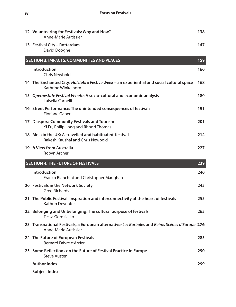| 12 Volunteering for Festivals: Why and How?<br>Anne-Marie Autissier                                                           | 138 |
|-------------------------------------------------------------------------------------------------------------------------------|-----|
| 13 Festival City - Rotterdam<br>David Dooghe                                                                                  | 147 |
| SECTION 3: IMPACTS, COMMUNITIES AND PLACES                                                                                    | 159 |
| <b>Introduction</b><br>Chris Newbold                                                                                          | 160 |
| 14 The Enchanted City: Holstebro Festive Week - an experiential and social cultural space<br>Kathrine Winkelhorn              | 168 |
| 15 Operaestate Festival Veneto: A socio-cultural and economic analysis<br>Luisella Carnelli                                   | 180 |
| 16 Street Performance: The unintended consequences of festivals<br><b>Floriane Gaber</b>                                      | 191 |
| 17 Diaspora Community Festivals and Tourism<br>Yi Fu, Philip Long and Rhodri Thomas                                           | 201 |
| 18 Mela in the UK: A 'travelled and habituated' festival<br>Rakesh Kaushal and Chris Newbold                                  | 214 |
| 19 A View from Australia<br>Robyn Archer                                                                                      | 227 |
| <b>SECTION 4: THE FUTURE OF FESTIVALS</b>                                                                                     | 239 |
| Introduction<br>Franco Bianchini and Christopher Maughan                                                                      | 240 |
| 20 Festivals in the Network Society<br><b>Greg Richards</b>                                                                   | 245 |
| 21 The Public Festival: Inspiration and interconnectivity at the heart of festivals<br><b>Kathrin Deventer</b>                | 255 |
| 22 Belonging and Unbelonging: The cultural purpose of festivals<br>Tessa Gordziejko                                           | 265 |
| 23 Transnational Festivals, a European alternative: Les Boréales and Reims Scènes d'Europe 276<br><b>Anne-Marie Autissier</b> |     |
| 24 The Future of European Festivals<br>Bernard Faivre d'Arcier                                                                | 285 |
| 25 Some Reflections on the Future of Festival Practice in Europe<br><b>Steve Austen</b>                                       | 290 |
| <b>Author Index</b>                                                                                                           | 299 |
| <b>Subject Index</b>                                                                                                          |     |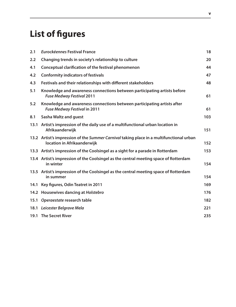# **List of figures**

| 2.1 | Eurockéennes Festival France                                                                                           | 18  |
|-----|------------------------------------------------------------------------------------------------------------------------|-----|
| 2.2 | Changing trends in society's relationship to culture                                                                   | 20  |
| 4.1 | Conceptual clarification of the festival phenomenon                                                                    | 44  |
| 4.2 | <b>Conformity indicators of festivals</b>                                                                              | 47  |
| 4.3 | Festivals and their relationships with different stakeholders                                                          | 48  |
| 5.1 | Knowledge and awareness connections between participating artists before<br><b>Fuse Medway Festival 2011</b>           | 61  |
| 5.2 | Knowledge and awareness connections between participating artists after<br><b>Fuse Medway Festival in 2011</b>         | 61  |
| 8.1 | <b>Sasha Waltz and guest</b>                                                                                           | 103 |
|     | 13.1 Artist's impression of the daily use of a multifunctional urban location in<br>Afrikaanderwijk                    | 151 |
|     | 13.2 Artist's impression of the Summer Carnival taking place in a multifunctional urban<br>location in Afrikaanderwijk | 152 |
|     | 13.3 Artist's impression of the Coolsingel as a sight for a parade in Rotterdam                                        | 153 |
|     | 13.4 Artist's impression of the Coolsingel as the central meeting space of Rotterdam<br>in winter                      | 154 |
|     | 13.5 Artist's impression of the Coolsingel as the central meeting space of Rotterdam<br>in summer                      | 154 |
|     | 14.1 Key figures, Odin Teatret in 2011                                                                                 | 169 |
|     | 14.2 Housewives dancing at Holstebro                                                                                   | 176 |
|     | 15.1 Operaestate research table                                                                                        | 182 |
|     | 18.1 Leicester Belgrave Mela                                                                                           | 221 |
|     | 19.1 The Secret River                                                                                                  | 235 |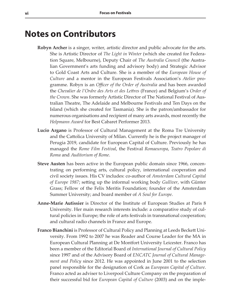## <span id="page-5-0"></span>**Notes on Contributors**

- **Robyn Archer** is a singer, writer, artistic director and public advocate for the arts. She is Artistic Director of *The Light in Winter* (which she created for Federation Square, Melbourne), Deputy Chair of *The Australia Council* (the Australian Government's arts funding and advisory body) and Strategic Advisor to Gold Coast Arts and Culture. She is a member of the *European House of Culture* and a mentor in the European Festivals Association's *Atelier* programme. Robyn is an *Officer of the Order of Australia* and has been awarded the *Chevalier de l'Ordre des Arts et des Lettres* (France) and Belgium's *Order of the Crown*. She was formerly Artistic Director of The National Festival of Australian Theatre, The Adelaide and Melbourne Festivals and Ten Days on the Island (which she created for Tasmania). She is the patron/ambassador for numerous organisations and recipient of many arts awards, most recently the *Helpmann Award* for Best Cabaret Performer 2013.
- **Lucio Argano** is Professor of Cultural Management at the Roma Tre University and the Cattolica University of Milan. Currently he is the project manager of Perugia 2019, candidate for European Capital of Culture. Previously he has managed the *Rome Film Festival*, the Festival *Romaeuropa*, *Teatro Popolare di Roma* and *Auditorium of Rome*.
- **Steve Austen** has been active in the European public domain since 1966, concentrating on performing arts, cultural policy, international cooperation and civil society issues. His CV includes: co-author of *Amsterdam Cultural Capital of Europe 1987*; setting up the informal working body *Gulliver*, with Günter Grass; Fellow of the Felix Meritis Foundation; founder of the Amsterdam Summer University; and board member of *A Soul for Europe*.
- **Anne-Marie Autissier** is Director of the Institute of European Studies at Paris 8 University. Her main research interests include: a comparative study of cultural policies in Europe; the role of arts festivals in transnational cooperation; and cultural radio channels in France and Europe.
- **Franco Bianchini** is Professor of Cultural Policy and Planning at Leeds Beckett University. From 1992 to 2007 he was Reader and Course Leader for the MA in European Cultural Planning at De Montfort University Leicester. Franco has been a member of the Editorial Board of *International Journal of Cultural Policy* since 1997 and of the Advisory Board of *ENCATC Journal of Cultural Management and Policy* since 2012. He was appointed in June 2001 to the selection panel responsible for the designation of Cork as *European Capital of Culture*. Franco acted as adviser to Liverpool Culture Company on the preparation of their successful bid for *European Capital of Culture* (2003) and on the imple-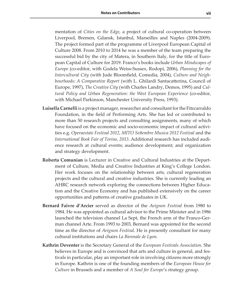<span id="page-6-0"></span>mentation of *Cities on the Edge*, a project of cultural co-operation between Liverpool, Bremen, Gdansk, Istanbul, Marseilles and Naples (2004-2009). The project formed part of the programme of Liverpool European Capital of Culture 2008. From 2010 to 2014 he was a member of the team preparing the successful bid by the city of Matera, in Southern Italy, for the title of European Capital of Culture for 2019. Franco's books include *Urban Mindscapes of Europe* (co-editor, with Godela Weiss-Sussex, Rodopi, 2006), *Planning for the Intercultural City* (with Jude Bloomfield, Comedia, 2004), *Culture and Neighbourhoods: A Comparative Report* (with L. Ghilardi Santacatterina, Council of Europe, 1997), *The Creative City* (with Charles Landry, Demos, 1995) and *Cultural Policy and Urban Regeneration: the West European Experience* (co-editor, with Michael Parkinson, Manchester University Press, 1993).

- **Luisella Carnelli** is a project manager, researcher and consultant for the Fitzcarraldo Foundation, in the field of Performing Arts. She has led or contributed to more than 50 research projects and consulting assignments, many of which have focused on the economic and socio-economic impact of cultural activities e.g. *Operaestate Festival 2012*, *MITO Settembre Musica 2012 Festival* and the *International Book Fair of Torino, 2013*. Additional research has included audience research at cultural events; audience development; and organization and strategy development.
- **Roberta Comunian** is Lecturer in Creative and Cultural Industries at the Department of Culture, Media and Creative Industries at King's College London. Her work focuses on the relationship between arts, cultural regeneration projects and the cultural and creative industries. She is currently leading an AHRC research network exploring the connections between Higher Education and the Creative Economy and has published extensively on the career opportunities and patterns of creative graduates in UK.
- **Bernard Faivre d'Arcier** served as director of the *Avignon Festival* from 1980 to 1984. He was appointed as cultural advisor to the Prime Minister and in 1986 launched the television channel La Sept, the French arm of the Franco-German channel Arte. From 1993 to 2003, Bernard was appointed for the second time as the director of *Avignon Festival*. He is presently consultant for many cultural institutions and chairs *La Biennale de Lyon.*
- **Kathrin Deventer** is the Secretary General of the *European Festivals Association*. She believes in Europe and is convinced that arts and culture in general, and festivals in particular, play an important role in involving citizens more strongly in Europe. Kathrin is one of the founding members of the *European House for Culture* in Brussels and a member of *A Soul for Europe*'s *s*trategy group.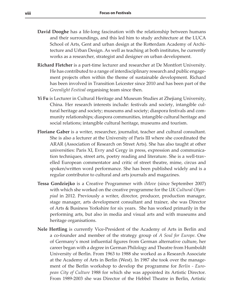- <span id="page-7-0"></span>**David Dooghe** has a life-long fascination with the relationship between humans and their surroundings, and this led him to study architecture at the LUCA School of Arts, Gent and urban design at the Rotterdam Academy of Architecture and Urban Design. As well as teaching at both institutes, he currently works as a researcher, strategist and designer on urban development.
- **Richard Fletcher** is a part-time lecturer and researcher at De Montfort University. He has contributed to a range of interdisciplinary research and public engagement projects often within the theme of sustainable development. Richard has been involved in Transition Leicester since 2010 and has been part of the *Greenlight Festival* organising team since then.
- **Yi Fu** is Lecturer in Cultural Heritage and Museum Studies at Zhejiang University, China. Her research interests include: festivals and society, intangible cultural heritage and society; museums and society; diaspora festivals and community relationships; diaspora communities, intangible cultural heritage and social relations; intangible cultural heritage, museums and tourism.
- **Floriane Gaber** is a writer, researcher, journalist, teacher and cultural consultant. She is also a lecturer at the University of Paris III where she coordinated the ARAR (Association of Research on Street Arts). She has also taught at other universities: Paris XI, Evry and Cergy in press, expression and communication techniques, street arts, poetry reading and literature. She is a well-travelled European commentator and critic of street theatre, mime, circus and spoken/written word performance. She has been published widely and is a regular contributor to cultural and arts journals and magazines.
- **Tessa Gordziejko** is a Creative Programmer with *iMove* (since September 2007) with which she worked on the creative programme for the *UK Cultural Olympiad* in 2012. Previously a writer, director, producer, production manager, stage manager, arts development consultant and trainer, she was Director of Arts & Business Yorkshire for six years. She has worked primarily in the performing arts, but also in media and visual arts and with museums and heritage organisations.
- **Nele Hertling** is currently Vice-President of the Academy of Arts in Berlin and a co-founder and member of the strategy group of *A Soul for Europe*. One of Germany's most influential figures from German alternative culture, her career began with a degree in German Philology and Theatre from Humboldt University of Berlin. From 1963 to 1988 she worked as a Research Associate at the Academy of Arts in Berlin (West). In 1987 she took over the management of the Berlin workshop to develop the programme for *Berlin - European City of Culture* 1988 for which she was appointed its Artistic Director. From 1989-2003 she was Director of the Hebbel Theatre in Berlin, Artistic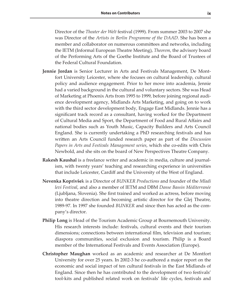<span id="page-8-0"></span>Director of the *Theater der Welt* festival (1999). From summer 2003 to 2007 she was Director of the *Artists in Berlin Programme of the DAAD*. She has been a member and collaborator on numerous committees and networks, including the IETM (Informal European Theatre Meeting), *Theorem*, the advisory board of the Performing Arts of the Goethe Institute and the Board of Trustees of the Federal Cultural Foundation.

- **Jennie Jordan** is Senior Lecturer in Arts and Festivals Management, De Montfort University Leicester, where she focuses on cultural leadership, cultural policy and audience engagement. Prior to her move into academia, Jennie had a varied background in the cultural and voluntary sectors. She was Head of Marketing at Phoenix Arts from 1995 to 1999, before joining regional audience development agency, Midlands Arts Marketing, and going on to work with the third sector development body, Engage East Midlands. Jennie has a significant track record as a consultant, having worked for the Department of Cultural Media and Sport, the Department of Food and Rural Affairs and national bodies such as Youth Music, Capacity Builders and Arts Council England. She is currently undertaking a PhD researching festivals and has written an Arts Council funded research paper as part of the *Discussion Papers in Arts and Festivals Management series*, which she co-edits with Chris Newbold, and she sits on the board of New Perspectives Theatre Company.
- **Rakesh Kaushal** is a freelance writer and academic in media, culture and journalism, with twenty years' teaching and researching experience in universities that include Leicester, Cardiff and the University of the West of England.
- **Nevenka Koprivše**k is a Director of *BUNKER Productions* and founder of the *Mladi levi Festival*, and also a member of IETM and DBM *Danse Bassin Méditerranée* (Ljubljana, Slovenia). She first trained and worked as actress, before moving into theatre direction and becoming artistic director for the Glej Theatre, 1989-97. In 1997 she founded *BUNKER* and since then has acted as the company's director.
- **Philip Long** is Head of the Tourism Academic Group at Bournemouth University. His research interests include: festivals, cultural events and their tourism dimensions; connections between international film, television and tourism; diaspora communities, social exclusion and tourism. Philip is a Board member of the International Festivals and Events Association (Europe).
- **Christopher Maughan** worked as an academic and researcher at De Montfort University for over 25 years. In 2002-3 he co-authored a major report on the economic and social impact of ten cultural festivals in the East Midlands of England. Since then he has contributed to the development of two festivals' tool-kits and published related work on festivals' life cycles, festivals and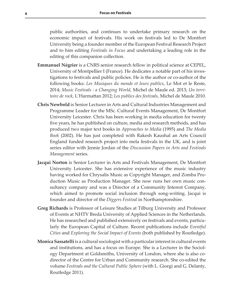public authorities, and continues to undertake primary research on the economic impact of festivals. His work on festivals led to De Montfort University being a founder member of the European Festival Research Project and to him editing *Festivals in Focus* and undertaking a leading role in the editing of this companion collection.

- **Emmanuel Négrier** is a CNRS senior research fellow in political science at CEPEL, University of Montpellier I (France). He dedicates a notable part of his investigations to festivals and public policies. He is the author or co-author of the following books: *Les Musiques du monde et leurs publics*, Le Mot et le Reste, 2014; *Music Festivals : a Changing World*, Michel de Maule ed. 2013; *Un territoire de rock*, L'Harmattan 2012; *Les publics des festivals*, Michel de Maule 2010.
- **Chris Newbold** is Senior Lecturer in Arts and Cultural Industries Management and Programme Leader for the MSc. Cultural Events Management, De Montfort University Leicester. Chris has been working in media education for twenty five years, he has published on culture, media and research methods, and has produced two major text books in *Approaches to Media* (1995) and *The Media Book* (2002). He has just completed with Rakesh Kaushal an Arts Council England funded research project into mela festivals in the UK, and is joint series editor with Jennie Jordan of the *Discussion Papers in Arts and Festivals Management* series.
- **Jacqui Norton** is Senior Lecturer in Arts and Festivals Management, De Montfort University Leicester. She has extensive experience of the music industry having worked for Chrysalis Music as Copyright Manager, and Zomba Production Music as Production Manager. She now runs her own music consultancy company and was a Director of a Community Interest Company, which aimed to promote social inclusion through song-writing. Jacqui is founder and director of the *Diggers Festival* in Northamptonshire.
- **Greg Richards** is Professor of Leisure Studies at Tilburg University and Professor of Events at NHTV Breda University of Applied Sciences in the Netherlands. He has researched and published extensively on festivals and events, particularly the European Capital of Culture. Recent publications include *Eventful Cities* and *Exploring the Social Impact of Events* (both published by Routledge).
- **Monica Sassatelli** is a cultural sociologist with a particular interest in cultural events and institutions, and has a focus on Europe. She is a Lecturer in the Sociology Department at Goldsmiths, University of London, where she is also codirector of the Centre for Urban and Community research. She co-edited the volume *Festivals and the Cultural Public Sphere* (with L. Giorgi and G. Delanty, Routledge 2011).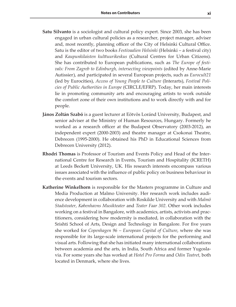- **Satu Silvanto** is a sociologist and cultural policy expert. Since 2003, she has been engaged in urban cultural policies as a researcher, project manager, adviser and, most recently, planning officer of the City of Helsinki Cultural Office. Satu is the editor of two books *Festivaalien Helsinki* (Helsinki – a festival city) and *Kaupunkilaisten kulttuurikeskus* (Cultural Centres for Urban Citizens). She has contributed to European publications, such as *The Europe of festivals: From Zagreb to Edinburgh, intersecting viewpoints* (edited by Anne-Marie Autissier), and participated in several European projects, such as *Eurocult21* (led by Eurocities), *Access of Young People to Culture* (Interarts), *Festival Policies of Public Authorities in Europe* (CIRCLE/EFRP). Today, her main interests lie in promoting community arts and encouraging artists to work outside the comfort zone of their own institutions and to work directly with and for people.
- **János Zoltán Szabó** is a guest lecturer at Eötvös Loránd University, Budapest, and senior adviser at the Ministry of Human Resources, Hungary. Formerly he worked as a research officer at the Budapest Observatory (2003-2012), an independent expert (2000-2003) and theatre manager at Csokonai Theatre, Debrecen (1995-2000). He obtained his PhD in Educational Sciences from Debrecen University (2012).
- **Rhodri Thomas** is Professor of Tourism and Events Policy and Head of the International Centre for Research in Events, Tourism and Hospitality (ICRETH) at Leeds Beckett University, UK. His research interests encompass various issues associated with the influence of public policy on business behaviour in the events and tourism sectors.
- **Katherine Winkelhorn** is responsible for the Masters programme in Culture and Media Production at Malmo University. Her research work includes audience development in collaboration with Roskilde University and with *Malmö Stadsteater*, *Københavns Musikteater* and *Teater Faar 302*. Other work includes working on a festival in Bangalore, with academics, artists, activists and practitioners, considering how modernity is mediated, in collaboration with the Srishti School of Arts, Design and Technology in Bangalore. For five years she worked for *Copenhagen 96 – European Capital of Culture*, where she was responsible for its large-scale international projects for the performing and visual arts. Following that she has initiated many international collaborations between academia and the arts, in India, South Africa and former Yugoslavia. For some years she has worked at *Hotel Pro Forma* and *Odin Teatret*, both located in Denmark, where she lives.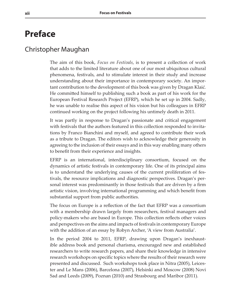## **Preface**

#### Christopher Maughan

The aim of this book, *Focus on Festivals*, is to present a collection of work that adds to the limited literature about one of our most ubiquitous cultural phenomena, festivals, and to stimulate interest in their study and increase understanding about their importance in contemporary society. An important contribution to the development of this book was given by Dragan Klaić*.* He committed himself to publishing such a book as part of his work for the European Festival Research Project (EFRP), which he set up in 2004. Sadly, he was unable to realise this aspect of his vision but his colleagues in EFRP continued working on the project following his untimely death in 2011.

It was partly in response to Dragan's passionate and critical engagement with festivals that the authors featured in this collection responded to invitations by Franco Bianchini and myself, and agreed to contribute their work as a tribute to Dragan. The editors wish to acknowledge their generosity in agreeing to the inclusion of their essays and in this way enabling many others to benefit from their experience and insights.

EFRP is an international, interdisciplinary consortium, focused on the dynamics of artistic festivals in contemporary life. One of its principal aims is to understand the underlying causes of the current proliferation of festivals, the resource implications and diagnostic perspectives. Dragan's personal interest was predominantly in those festivals that are driven by a firm artistic vision, involving international programming and which benefit from substantial support from public authorities.

The focus on Europe is a reflection of the fact that EFRP was a consortium with a membership drawn largely from researchers, festival managers and policy-makers who are based in Europe. This collection reflects other voices and perspectives on the aims and impacts of festivals in contemporary Europe with the addition of an essay by Robyn Archer, 'A view from Australia'.

In the period 2004 to 2011, EFRP, drawing upon Dragan's inexhaustible address book and personal charisma, encouraged new and established researchers to write research papers, and share their knowledge in intensive research workshops on specific topics where the results of their research were presented and discussed. Such workshops took place in Nitra (2005), Leicester and Le Mans (2006), Barcelona (2007), Helsinki and Moscow (2008) Novi Sad and Leeds (2009), Poznan (2010) and Strasbourg and Maribor (2011).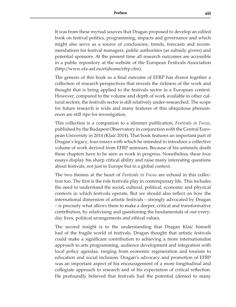It was from these myriad sources that Dragan proposed to develop an edited book on festival politics, programming, impacts and governance and which might also serve as a source of conclusions, trends, forecasts and recommendations for festival managers, public authorities (as subsidy givers) and potential sponsors. At the present time all research outcomes are accessible in a public repository at the website of the European Festivals Association [\(http://www.efa-aef.eu/efahome/efrp.cfm](http://www.efa-aef.org/efahome/efrp.cfm)).

The genesis of this book as a final outcome of EFRP has drawn together a collection of research perspectives that reveals the richness of the work and thought that is being applied to the festivals sector in a European context. However, compared to the volume and depth of work available in other cultural sectors, the festivals sector is still relatively under-researched. The scope for future research is wide and many features of this ubiquitous phenomenon are still ripe for investigation.

This collection is a companion to a slimmer publication, *Festivals in Focus*, published by the Budapest Observatory in conjunction with the Central European University in 2014 (Klaić 2014). That book features an important part of Dragan's legacy, four essays with which he intended to introduce a collective volume of work derived from EFRP seminars. Because of his untimely death these chapters have to be seen as work in progress. Nonetheless, these four essays display his sharp critical ability and raise many interesting questions about festivals, not just in Europe but in a global context.

The two themes at the heart of *Festivals in Focus* are echoed in this collection too. The first is the role festivals play in contemporary life. This includes the need to understand the social, cultural, political, economic and physical contexts in which festivals operate. But we should also reflect on how the international dimension of artistic festivals – strongly advocated by Dragan – is precisely what allows them to make a deeper, critical and transformative contribution, by relativising and questioning the fundamentals of our everyday lives, political arrangements and ethical values.

The second insight is to the understanding that Dragan Klai*ć* himself had of the fragile world of festivals. Dragan thought that artistic festivals could make a significant contribution to achieving a more internationalist approach to arts programming, audience development and integration with local policy agendas, ranging from economic regeneration and tourism to education and social inclusion. Dragan's advocacy and promotion of EFRP was an important aspect of his encouragement of a more longitudinal and collegiate approach to research and of his expectation of critical reflection. He profoundly believed that festivals had the potential (denied to many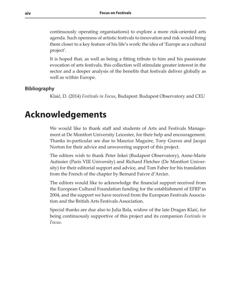continuously operating organisations) to explore a more risk-oriented arts agenda. Such openness of artistic festivals to innovation and risk would bring them closer to a key feature of his life's work: the idea of 'Europe as a cultural project'.

It is hoped that, as well as being a fitting tribute to him and his passionate evocation of arts festivals, this collection will stimulate greater interest in the sector and a deeper analysis of the benefits that festivals deliver globally as well as within Europe.

#### **Bibliography**

Klaić, D. (2014) *Festivals in Focus*, Budapest: Budapest Observatory and CEU

## **Acknowledgements**

We would like to thank staff and students of Arts and Festivals Management at De Montfort University Leicester, for their help and encouragement. Thanks in-particular are due to Maurice Maguire, Tony Graves and Jacqui Norton for their advice and unwavering support of this project.

The editors wish to thank Peter Inkei (Budapest Observatory), Anne-Marie Autissier (Paris VIII University) and Richard Fletcher (De Montfort University) for their editorial support and advice, and Tom Faber for his translation from the French of the chapter by Bernard Faivre d'Arcier.

The editors would like to acknowledge the financial support received from the European Cultural Foundation funding for the establishment of EFRP in 2004, and the support we have received from the European Festivals Association and the British Arts Festivals Association.

Special thanks are due also to Julia Bala, widow of the late Dragan Klaić, for being continuously supportive of this project and its companion *Festivals in Focus*.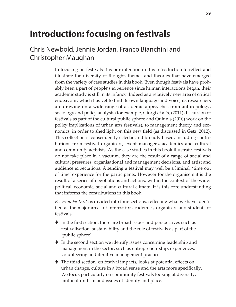## **Introduction: focusing on festivals**

### Chris Newbold, Jennie Jordan, Franco Bianchini and Christopher Maughan

In focusing on festivals it is our intention in this introduction to reflect and illustrate the diversity of thought, themes and theories that have emerged from the variety of case studies in this book. Even though festivals have probably been a part of people's experience since human interactions began, their academic study is still in its infancy. Indeed as a relatively new area of critical endeavour, which has yet to find its own language and voice, its researchers are drawing on a wide range of academic approaches from anthropology, sociology and policy analysis (for example, Giorgi et al's, (2011) discussion of festivals as part of the cultural public sphere and Quinn's (2010) work on the policy implications of urban arts festivals), to management theory and economics, in order to shed light on this new field (as discussed in Getz, 2012). This collection is consequently eclectic and broadly based, including contributions from festival organisers, event managers, academics and cultural and community activists. As the case studies in this book illustrate, festivals do not take place in a vacuum, they are the result of a range of social and cultural pressures, organisational and management decisions, and artist and audience expectations. Attending a festival may well be a liminal, 'time out of time' experience for the participants. However for the organisers it is the result of a series of negotiations and actions, within the context of the wider political, economic, social and cultural climate. It is this core understanding that informs the contributions in this book.

*Focus on Festivals* is divided into four sections, reflecting what we have identified as the major areas of interest for academics, organisers and students of festivals.

- $\blacklozenge$  In the first section, there are broad issues and perspectives such as festivalisation, sustainability and the role of festivals as part of the 'public sphere'.
- $\blacklozenge$  In the second section we identify issues concerning leadership and management in the sector, such as entrepreneurship, experiences, volunteering and iterative management practices.
- The third section, on festival impacts, looks at potential effects on urban change, culture in a broad sense and the arts more specifically. We focus particularly on community festivals looking at diversity, multiculturalism and issues of identity and place.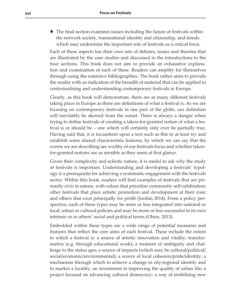The final section examines issues including the future of festivals within the network society, transnational identity and citizenship, and trends which may undermine the important role of festivals as a critical force.

Each of these aspects has their own sets of debates, issues and theories that are illustrated by the case studies and discussed in the introductions to the four sections. This book does not aim to provide an exhaustive explanation and examination of each of these. Readers can amplify for themselves through using the extensive bibliographies. The book rather aims to provide the reader with an indication of the breadth of material that can be applied to contextualising and understanding contemporary festivals in Europe.

Clearly, as this book will demonstrate, there are as many different festivals taking place in Europe as there are definitions of what a festival is. As we are focusing on contemporary festivals in one part of the globe, our definition will inevitably be skewed from the outset. There is always a danger when trying to define festivals of creating a taken-for-granted notion of what a festival is or should be – one which will certainly only ever be partially true. Having said that, it is incumbent upon a text such as this to at least try and establish some shared characteristic features, by which we can say that the events we are describing are worthy of our festivals focus and whether takenfor-granted notions are as sensible as they seem at first glance.

Given their complexity and eclectic nature, it is useful to ask why the study of festivals is important. Understanding and developing a festivals' typology is a prerequisite for achieving a systematic engagement with the festivals sector. Within this book, readers will find examples of festivals that are primarily civic in nature, with values that prioritise community self-celebration; other festivals that place artistic promotion and development at their core; and others that exist principally for profit (Jordan 2014). From a policy perspective, each of these types may be more or less integrated into national or local, urban or cultural policies and may be more or less successful in its own intrinsic or in others' social and political terms (Olsen, 2013).

Embedded within these types are a wide range of potential measures and features that reflect the core aims of each festival. These include the extent to which a festival is: a source of artistic innovation and vitality; transformative (e.g. through educational work); a moment of ambiguity and challenge to the status quo; a source of impacts (which may be cultural/political/ social/economic/environmental); a source of local cohesion/pride/identity; a mechanism through which to achieve a change in city/regional identity and to market a locality; an investment in improving the quality of urban life; a project focused on advancing cultural democracy; a way of mobilising new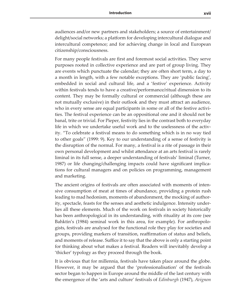audiences and/or new partners and stakeholders; a source of entertainment/ delight/social networks; a platform for developing intercultural dialogue and intercultural competence; and for achieving change in local and European citizenship/consciousness.

For many people festivals are first and foremost social activities. They serve purposes rooted in collective experience and are part of group living. They are events which punctuate the calendar; they are often short term, a day to a month in length, with a few notable exceptions. They are 'public facing', embedded in social and cultural life, and a 'festive' experience. Activity within festivals tends to have a creative/performance/ritual dimension to its content. They may be formally cultural or commercial (although these are not mutually exclusive) in their outlook and they must attract an audience, who in every sense are equal participants in some or all of the festive activities. The festival experience can be an oppositional one and it should not be banal, trite or trivial. For Pieper, festivity lies in the contrast both to everyday life in which we undertake useful work and to the uselessness of the activity. "To celebrate a festival means to do something which is in no way tied to other goals" (1999: 9). Key to our understanding of a sense of festivity is the disruption of the normal. For many, a festival is a rite of passage in their own personal development and whilst attendance at an arts festival is rarely liminal in its full sense, a deeper understanding of festivals' liminal (Turner, 1987) or life changing/challenging impacts could have significant implications for cultural managers and on policies on programming, management and marketing.

The ancient origins of festivals are often associated with moments of intensive consumption of meat at times of abundance, providing a protein rush leading to mad hedonism, moments of abandonment, the mocking of authority, spectacle, feasts for the senses and aesthetic indulgence. Intensity underlies all these elements. Much of the work on festivals in society historically has been anthropological in its understanding, with rituality at its core (see Bahktin's (1984) seminal work in this area, for example). For anthropologists, festivals are analysed for the functional role they play for societies and groups, providing markers of transition, reaffirmation of status and beliefs, and moments of release. Suffice it to say that the above is only a starting point for thinking about what makes a festival. Readers will inevitably develop a 'thicker' typology as they proceed through the book.

It is obvious that for millennia, festivals have taken place around the globe. However, it may be argued that the 'professionalisation' of the festivals sector began to happen in Europe around the middle of the last century with the emergence of the 'arts and culture' festivals of *Edinburgh* (1947), *Avignon*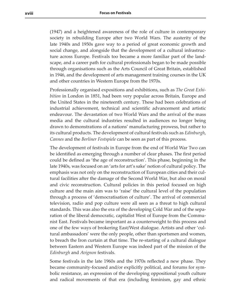(1947) and a heightened awareness of the role of culture in contemporary society in rebuilding Europe after two World Wars. The austerity of the late 1940s and 1950s gave way to a period of great economic growth and social change, and alongside that the development of a cultural infrastructure across Europe. Festivals too became a more familiar part of the landscape, and a career path for cultural professionals began to be made possible through organisations such as the Arts Council of Great Britain, established in 1946, and the development of arts management training courses in the UK and other countries in Western Europe from the 1970s.

Professionally organised expositions and exhibitions, such as *The Great Exhibition* in London in 1851, had been very popular across Britain, Europe and the United States in the nineteenth century. These had been celebrations of industrial achievement, technical and scientific advancement and artistic endeavour. The devastation of two World Wars and the arrival of the mass media and the cultural industries resulted in audiences no longer being drawn to demonstrations of a nations' manufacturing prowess, but rather to its cultural products. The development of cultural festivals such as *Edinburgh*, *Cannes* and the *Berliner Festspiele* can be seen as part of this process.

The development of festivals in Europe from the end of World War Two can be identified as emerging through a number of clear phases. The first period could be defined as 'the age of reconstruction'. This phase, beginning in the late 1940s, was focused on an 'arts for art's sake' notion of cultural policy. The emphasis was not only on the reconstruction of European cities and their cultural facilities after the damage of the Second World War, but also on moral and civic reconstruction. Cultural policies in this period focused on high culture and the main aim was to 'raise' the cultural level of the population through a process of 'democratisation of culture'. The arrival of commercial television, radio and pop culture were all seen as a threat to high cultural standards. This was also the era of the developing Cold War and of the separation of the liberal democratic, capitalist West of Europe from the Communist East. Festivals became important as a counterweight to this process and one of the few ways of brokering East/West dialogue. Artists and other 'cultural ambassadors' were the only people, other than sportsmen and women, to breach the Iron curtain at that time. The re-starting of a cultural dialogue between Eastern and Western Europe was indeed part of the mission of the *Edinburgh* and *Avignon* festivals.

Some festivals in the late 1960s and the 1970s reflected a new phase. They became community-focused and/or explicitly political, and forums for symbolic resistance, an expression of the developing oppositional youth culture and radical movements of that era (including feminism, gay and ethnic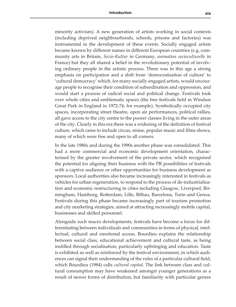minority activism). A new generation of artists working in social contexts (including deprived neighbourhoods, schools, prisons and factories) was instrumental in the development of these events. Socially engaged artists became known by different names in different European countries (e.g, community arts in Britain, *Sozio-Kultur* in Germany, *animation socioculturelle* in France) but they all shared a belief in the revolutionary potential of involving ordinary people in the artistic process. There was in this age a strong emphasis on participation and a shift from 'democratisation of culture' to 'cultural democracy' which, for many socially engaged artists, would encourage people to recognise their condition of subordination and oppression, and would start a process of radical social and political change. Festivals took over whole cities and emblematic spaces (the free festivals held in Windsor Great Park in England in 1972-74, for example). Symbolically occupied city spaces, incorporating street theatre, open air performances, political rallies, all gave access to the city centre to the poorer classes living in the outer areas of the city. Clearly in this era there was a widening of the definition of festival culture, which came to include circus, mime, popular music and films shows, many of which were free and open to all comers.

In the late 1980s and during the 1990s another phase was consolidated. This had a more commercial and economic development orientation, characterised by the greater involvement of the private sector, which recognised the potential for aligning their business with the PR possibilities of festivals with a captive audience or other opportunities for business development as sponsors. Local authorities also became increasingly interested in festivals as vehicles for urban regeneration, to respond to the process of de-industrialisation and economic restructuring in cities including Glasgow, Liverpool, Birmingham, Hamburg, Rotterdam, Lille, Bilbao, Barcelona, Turin and Genoa. Festivals during this phase became increasingly part of tourism promotion and city marketing strategies, aimed at attracting increasingly mobile capital, businesses and skilled personnel.

Alongside such macro developments, festivals have become a focus for differentiating between individuals and communities in terms of physical, intellectual, cultural and emotional access. Bourdieu explains the relationship between social class, educational achievement and cultural taste, as being instilled through socialisation, particularly upbringing and education. Taste is exhibited as well as reinforced by the festival environment, in which audiences can signal their understanding of the rules of a particular cultural field, which Bourdieu (1984) calls *cultural capital*. The link between class and cultural consumption may have weakened amongst younger generations as a result of newer forms of distribution, but familiarity with particular genres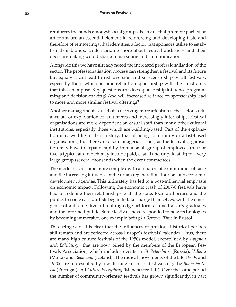reinforces the bonds amongst social groups. Festivals that promote particular art forms are an essential element in reinforcing and developing taste and therefore of reinforcing tribal identities, a factor that sponsors utilise to establish their brands. Understanding more about festival audiences and their decision-making would sharpen marketing and communication.

Alongside this we have already noted the increased professionalisation of the sector. The professionalisation process can strengthen a festival and its future but equaly it can lead to risk aversion and self-censorship by all festivals, especially those which become reliant on sponsorship with the constraints that this can impose. Key questions are: does sponsorship influence programming and decision-making? And will increased reliance on sponsorship lead to more and more similar festival offerings?

Another management issue that is receiving more attention is the sector's reliance on, or exploitation of, volunteers and increasingly internships. Festival organisations are more dependent on casual staff than many other cultural institutions, especially those which are building-based. Part of the explanation may well lie in their history, that of being community or artist-based organisations, but there are also managerial issues, as the festival organisation may have to expand rapidly from a small group of employees (four or five is typical and which may include paid, casual and unpaid staff) to a very large group (several thousand) when the event commences.

The model has become more complex with a mixture of communities of taste and the increasing influence of the urban regeneration, tourism and economic development agendas. This ultimately has led to a post-millennial emphasis on economic impact. Following the economic crash of 2007-8 festivals have had to redefine their relationships with the state, local authorities and the public. In some cases, artists began to take charge themselves, with the emergence of anti-elite, live art, cutting edge art forms, aimed at arts graduates and the informed public. Some festivals have responded to new technologies by becoming immersive, one example being *In Between Time* in Bristol.

This being said, it is clear that the influences of previous historical periods still remain and are reflected across Europe's festivals' calendar. Thus, there are many high culture festivals of the 1950s model, exemplified by *Avignon* and *Edinburgh*, that are now joined by the members of the European Festivals Association, which includes events in *St Petersburg* (Russia), *Valletta* (Malta) and *Reykjavik* (Iceland). The radical movements of the late 1960s and 1970s are represented by a wide range of niche festivals e.g. the *Boom Festival* (Portugal) and *Future Everything* (Manchester, UK). Over the same period the number of community-oriented festivals has grown significantly, in part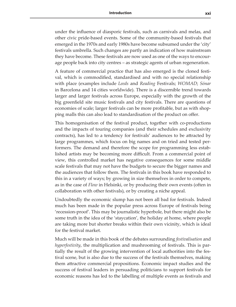under the influence of diasporic festivals, such as carnivals and melas, and other civic pride-based events. Some of the community-based festivals that emerged in the 1970s and early 1980s have become subsumed under the 'city' festivals umbrella. Such changes are partly an indication of how mainstream they have become. These festivals are now used as one of the ways to encourage people back into city centres – as strategic agents of urban regeneration.

A feature of commercial practice that has also emerged is the cloned festival, which is commodified, standardised and with no special relationship with place (examples include *Leeds* and *Reading* Festivals; *WOMAD*; *Sónar*  in Barcelona and 14 cities worldwide). There is a discernible trend towards larger and larger festivals across Europe, especially with the growth of the big greenfield site music festivals and city festivals. There are questions of economies of scale; larger festivals can be more profitable, but as with shopping malls this can also lead to standardisation of the product on offer.

This homogenisation of the festival product, together with co-productions and the impacts of touring companies (and their schedules and exclusivity contracts), has led to a tendency for festivals' audiences to be attracted by large programmes, which focus on big names and on tried and tested performers. The demand and therefore the scope for programming less established artists may be becoming more difficult. From a commercial point of view, this controlled market has negative consequences for some middle scale festivals that may not have the budgets to secure the bigger names and the audiences that follow them. The festivals in this book have responded to this in a variety of ways; by growing in size themselves in order to compete, as in the case of *Flow* in Helsinki, or by producing their own events (often in collaboration with other festivals), or by creating a niche appeal.

Undoubtedly the economic slump has not been all bad for festivals. Indeed much has been made in the popular press across Europe of festivals being 'recession-proof'. This may be journalistic hyperbole, but there might also be some truth in the idea of the 'staycation', the holiday at home, where people are taking more but shorter breaks within their own vicinity, which is ideal for the festival market.

Much will be made in this book of the debates surrounding *festivalisation* and *hyperfestivity*, the multiplication and mushrooming of festivals. This is partially the result of the growing intervention of local authorities into the festival scene, but is also due to the success of the festivals themselves, making them attractive commercial propositions. Economic impact studies and the success of festival leaders in persuading politicians to support festivals for economic reasons has led to the labelling of multiple events as festivals and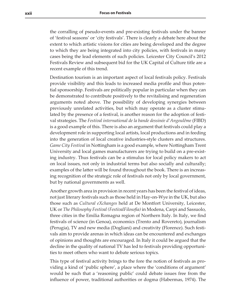the corralling of pseudo-events and pre-existing festivals under the banner of 'festival seasons' or 'city festivals'. There is clearly a debate here about the extent to which artistic visions for cities are being developed and the degree to which they are being integrated into city policies, with festivals in many cases being the lead elements of such policies. Leicester City Council's 2012 Festivals Review and subsequent bid for the UK Capital of Culture title are a recent example of this trend.

Destination tourism is an important aspect of local festivals policy. Festivals provide visibility and this leads to increased media profile and thus potential sponsorship. Festivals are politically popular in particular when they can be demonstrated to contribute positively to the revitalising and regeneration arguments noted above. The possibility of developing synergies between previously unrelated activities, but which may operate as a cluster stimulated by the presence of a festival, is another reason for the adoption of festival strategies. The *Festival international de la bande dessinée d'Angoulême* (FIBD) is a good example of this. There is also an argument that festivals could play a development role in supporting local artists, local productions and in feeding into the generation of local creative industries-style clusters and structures. *Game City Festival* in Nottingham is a good example, where Nottingham Trent University and local games manufacturers are trying to build on a pre-existing industry. Thus festivals can be a stimulus for local policy makers to act on local issues, not only in industrial terms but also socially and culturally; examples of the latter will be found throughout the book. There is an increasing recognition of the strategic role of festivals not only by local government, but by national governments as well.

Another growth area in provision in recent years has been the festival of ideas, not just literary festivals such as those held in Hay-on-Wye in the UK, but also those such as *Cultural eXchanges* held at De Montfort University, Leicester, UK or *The Philosophy Festival (FestivalFilosofia)* in Modena, Carpi and Sassuolo, three cities in the Emilia Romagna region of Northern Italy. In Italy, we find festivals of science (in Genoa), economics (Trento and Rovereto), journalism (Perugia), TV and new media (Dogliani) and creativity (Florence). Such festivals aim to provide arenas in which ideas can be encountered and exchanges of opinions and thoughts are encouraged. In Italy it could be argued that the decline in the quality of national TV has led to festivals providing opportunities to meet others who want to debate serious topics.

This type of festival activity brings to the fore the notion of festivals as providing a kind of 'public sphere', a place where the 'conditions of argument' would be such that a 'reasoning public' could debate issues free from the influence of power, traditional authorities or dogma (Habermas, 1974). The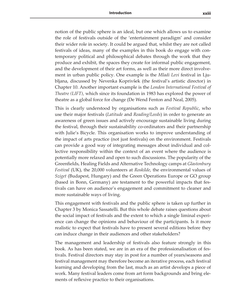notion of the public sphere is an ideal, but one which allows us to examine the role of festivals outside of the 'entertainment paradigm' and consider their wider role in society. It could be argued that, whilst they are not called festivals of ideas, many of the examples in this book do engage with contemporary political and philosophical debates through the work that they produce and exhibit, the spaces they create for informal public engagement, and the development of their art forms, as well as their more direct involvement in urban public policy. One example is the *Mladi Levi* festival in Ljubljana, discussed by Nevenka Koprivšek (the festival's artistic director) in Chapter 10. Another important example is the *London International Festival of Theatre (LIFT)*, which since its foundation in 1983 has explored the power of theatre as a global force for change (De Wend Fenton and Neal, 2005).

This is clearly understood by organisations such as *Festival Republic*, who use their major festivals (*Latitude* and *Reading/Leeds*) in order to generate an awareness of green issues and actively encourage sustainable living during the festival, through their sustainability co-ordinators and their partnership with Julie's Bicycle. This organisation works to improve understanding of the impact of arts practice (not just festivals) on the environment. Festivals can provide a good way of integrating messages about individual and collective responsibility within the context of an event where the audience is potentially more relaxed and open to such discussions. The popularity of the Greenfields, Healing Fields and Alternative Technology camps at *Glastonbury Festival* (UK), the 20,000 volunteers at *Roskilde*, the environmental values of *Sziget* (Budapest, Hungary) and the Green Operations Europe or GO group (based in Bonn, Germany) are testament to the powerful impacts that festivals can have on audience's engagement and commitment to cleaner and more sustainable ways of living.

This engagement with festivals and the public sphere is taken up further in Chapter 3 by Monica Sassatelli. But this whole debate raises questions about the social impact of festivals and the extent to which a single liminal experience can change the opinions and behaviour of the participants. Is it more realistic to expect that festivals have to present several editions before they can induce change in their audiences and other stakeholders?

The management and leadership of festivals also feature strongly in this book. As has been stated, we are in an era of the professionalisation of festivals. Festival directors may stay in post for a number of years/seasons and festival management may therefore become an iterative process, each festival learning and developing from the last, much as an artist develops a piece of work. Many festival leaders come from art form backgrounds and bring elements of reflexive practice to their organisations.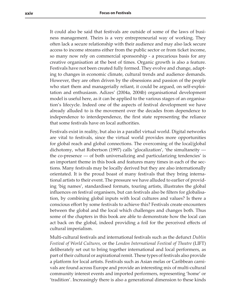It could also be said that festivals are outside of some of the laws of business management. Theirs is a very entrepreneurial way of working. They often lack a secure relationship with their audience and may also lack secure access to income streams either from the public sector or from ticket income, so many now rely on commercial sponsorship - a precarious basis for any creative organisation at the best of times. Organic growth is also a feature. Festivals have not been created fully formed. They evolve and change, adapting to changes in economic climate, cultural trends and audience demands. However, they are often driven by the obsessions and passion of the people who start them and managerially reliant, it could be argued, on self-exploitation and enthusiasm. Adizes' (2004a, 2004b) organisational development model is useful here, as it can be applied to the various stages of an organisation's lifecycle. Indeed one of the aspects of festival development we have already alluded to is the movement over the decades from dependence to independence to interdependence, the first state representing the reliance that some festivals have on local authorities.

Festivals exist in reality, but also in a parallel virtual world. Digital networks are vital to festivals, since the virtual world provides more opportunities for global reach and global connections. The overcoming of the local/global dichotomy, what Robertson (1997) calls 'glocalization', 'the simultaneity -- the co-presence --- of both universalizing and particularizing tendencies' is an important theme in this book and features many times in each of the sections. Many festivals may be locally derived but they are also internationally orientated. It is the proud boast of many festivals that they bring international artists to their event. The pressure we have alluded to earlier of providing 'big names', standardised formats, touring artists, illustrates the global influences on festival organisers, but can festivals also be filters for globalisation, by combining global inputs with local cultures and values? Is there a conscious effort by some festivals to achieve this? Festivals create encounters between the global and the local which challenges and changes both. Thus some of the chapters in this book are able to demonstrate how the local can act back on the global, indeed providing a foil for the perceived effects of cultural imperialism.

Multi-cultural festivals and international festivals such as the defunct *Dublin Festival of World Cultures,* or the *London International Festival of Theatre* (LIFT) deliberately set out to bring together international and local performers, as part of their cultural or aspirational remit. These types of festivals also provide a platform for local artists. Festivals such as Asian melas or Caribbean carnivals are found across Europe and provide an interesting mix of multi-cultural community interest events and imported performers, representing 'home' or 'tradition'. Increasingly there is also a generational dimension to these kinds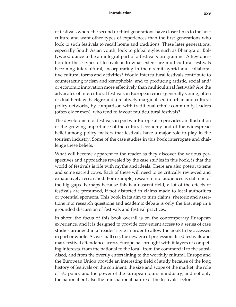of festivals where the second or third generations have closer links to the host culture and want other types of experiences than the first generations who look to such festivals to recall home and traditions. These later generations, especially South Asian youth, look to global styles such as Bhangra or Bollywood dance to be an integral part of a festival's programme. A key question for these types of festivals is to what extent are multicultural festivals becoming intercultural, incorporating in their remit hybrid and collaborative cultural forms and activities? Would intercultural festivals contribute to counteracting racism and xenophobia, and to producing artistic, social and/ or economic innovation more effectively than multicultural festivals? Are the advocates of intercultural festivals in European cities (generally young, often of dual heritage backgrounds) relatively marginalised in urban and cultural policy networks, by comparison with traditional ethnic community leaders (often older men), who tend to favour multicultural festivals?

The development of festivals in postwar Europe also provides an illustration of the growing importance of the cultural economy and of the widespread belief among policy makers that festivals have a major role to play in the tourism industry. Some of the case studies in this book interrogate and challenge these beliefs.

What will become apparent to the reader as they discover the various perspectives and approaches revealed by the case studies in this book, is that the world of festivals is rife with myths and ideals. There are also potent totems and some sacred cows. Each of these will need to be critically reviewed and exhaustively researched. For example, research into audiences is still one of the big gaps. Perhaps because this is a nascent field, a lot of the effects of festivals are presumed, if not distorted in claims made to local authorities or potential sponsors. This book in its aim to turn claims, rhetoric and assertions into research questions and academic debate is only the first step in a grounded discussion of festivals and festival practices.

In short, the focus of this book overall is on the contemporary European experience, and it is designed to provide convenient access to a series of case studies arranged in a 'reader' style in order to allow the book to be accessed in part or whole. As we shall see, the new era of professionalised festivals and mass festival attendance across Europe has brought with it layers of competing interests, from the national to the local, from the commercial to the subsidised, and from the overtly entertaining to the worthily cultural. Europe and the European Union provide an interesting field of study because of the long history of festivals on the continent, the size and scope of the market, the role of EU policy and the power of the European tourism industry, and not only the national but also the transnational nature of the festivals sector.